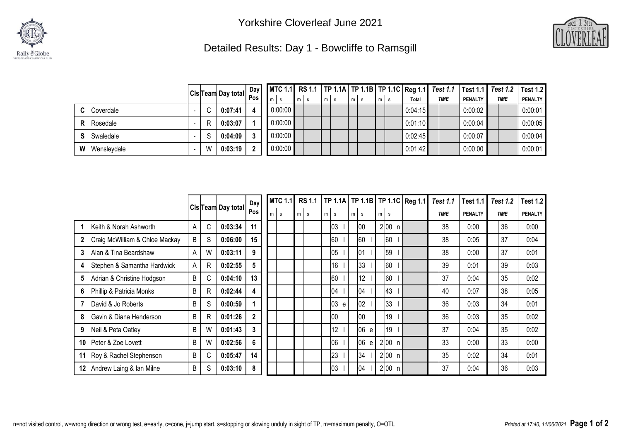



## Detailed Results: Day 1 - Bowcliffe to Ramsgill

|   |                    |    |                                                 | Day |         |                       |    |       |         |             |                | MTC 1.1 RS 1.1   TP 1.1A   TP 1.1B   TP 1.1C   Reg 1.1   Test 1.1   Test 1.1   Test 1.2   Test 1.2 |                |
|---|--------------------|----|-------------------------------------------------|-----|---------|-----------------------|----|-------|---------|-------------|----------------|----------------------------------------------------------------------------------------------------|----------------|
|   |                    |    | CIs <sup> </sup> Team Day total D <sup>oy</sup> |     | m       | m <sub>1</sub><br>- S | ml | $m$ s | Total   | <b>TIME</b> | <b>PENALTY</b> | <b>TIME</b>                                                                                        | <b>PENALTY</b> |
|   | <b>C</b> Coverdale |    | 0:07:41                                         |     | 0:00:00 |                       |    |       | 0:04:15 |             | 0:00:02        |                                                                                                    | 0:00:01        |
|   | Rosedale           | R  | 0:03:07                                         |     | 0:00:00 |                       |    |       | 0:01:10 |             | 0:00:04        |                                                                                                    | 0:00:05        |
|   | Swaledale          | C. | 0:04:09                                         |     | 0:00:00 |                       |    |       | 0:02:45 |             | 0:00:07        |                                                                                                    | 0:00:04        |
| W | Wenslevdale        | W  | 0:03:19                                         |     | 0:00:00 |                       |    |       | 0:01:42 |             | 0:00:00        |                                                                                                    | 0:00:01        |

|              |                                |   |              |                           | Day          | <b>MTC 1.1</b> |   | <b>RS 1.1</b> |   |         |                |          |   |          | TP 1.1A   TP 1.1B   TP 1.1C   Reg 1.1 | <b>Test 1.1</b> | Test 1.1       | <b>Test 1.2</b> | <b>Test 1.2</b> |
|--------------|--------------------------------|---|--------------|---------------------------|--------------|----------------|---|---------------|---|---------|----------------|----------|---|----------|---------------------------------------|-----------------|----------------|-----------------|-----------------|
|              |                                |   |              | <b>CIs Team Day total</b> | Pos          | m<br>s         | m | s             | m | s       | m <sub>1</sub> | <b>S</b> | m | <b>S</b> |                                       | <b>TIME</b>     | <b>PENALTY</b> | <b>TIME</b>     | <b>PENALTY</b>  |
|              | Keith & Norah Ashworth         | A | C            | 0:03:34                   | 11           |                |   |               |   | 03      |                | 00       |   | 2 00 n   |                                       | 38              | 0:00           | 36              | 0:00            |
| $\mathbf{2}$ | Craig McWilliam & Chloe Mackay | B | S            | 0:06:00                   | 15           |                |   |               |   | 60      |                | 60       |   | 60       |                                       | 38              | 0:05           | 37              | 0:04            |
| 3            | Alan & Tina Beardshaw          | A | W            | 0:03:11                   | 9            |                |   |               |   | 05      |                | 01       |   | 59       |                                       | 38              | 0:00           | 37              | 0:01            |
| 4            | Stephen & Samantha Hardwick    | A | R            | 0:02:55                   | 5            |                |   |               |   | 16      |                | 33       |   | 60       |                                       | 39              | 0:01           | 39              | 0:03            |
| 5            | Adrian & Christine Hodgson     | B | C            | 0:04:10                   | 13           |                |   |               |   | 60      |                | 12       |   | 60       |                                       | 37              | 0:04           | 35              | 0:02            |
| 6            | Phillip & Patricia Monks       | B | R            | 0:02:44                   | 4            |                |   |               |   | 04      |                | 04       |   | 43       |                                       | 40              | 0:07           | 38              | 0:05            |
|              | David & Jo Roberts             | B | S            | 0:00:59                   |              |                |   |               |   | 03<br>e |                | 02       |   | 33       |                                       | 36              | 0:03           | 34              | 0:01            |
| 8            | Gavin & Diana Henderson        | B | $\mathsf{R}$ | 0:01:26                   | $\mathbf{2}$ |                |   |               |   | 100     |                | 00       |   | 19       |                                       | 36              | 0:03           | 35              | 0:02            |
| 9            | Neil & Peta Oatley             | B | W            | 0:01:43                   | 3            |                |   |               |   | 12      |                | 06<br>e  |   | 19       |                                       | 37              | 0:04           | 35              | 0:02            |
| 10           | Peter & Zoe Lovett             | B | W            | 0:02:56                   | 6            |                |   |               |   | 06      |                | 06<br>e  |   | 2 00 n   |                                       | 33              | 0:00           | 33              | 0:00            |
| 11           | Roy & Rachel Stephenson        | B | C            | 0:05:47                   | 14           |                |   |               |   | 23      |                | 34       |   | 2 00 n   |                                       | 35              | 0:02           | 34              | 0:01            |
| 12           | Andrew Laing & Ian Milne       | B | S            | 0:03:10                   | 8            |                |   |               |   | 03      |                | 04       |   | 2 00 n   |                                       | 37              | 0:04           | 36              | 0:03            |